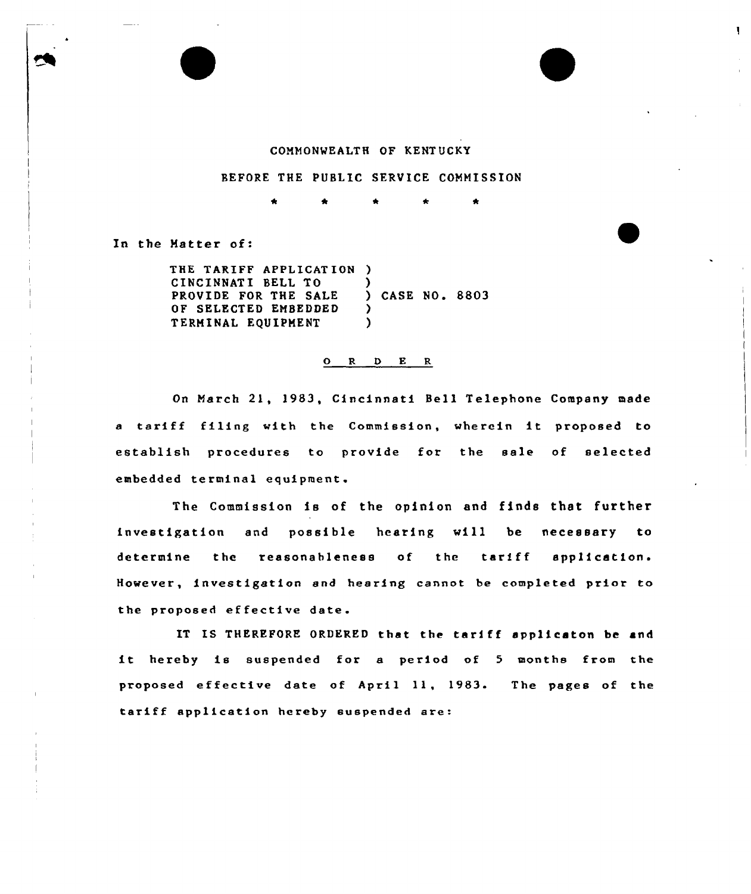## COMMONWEALTH OF KENTUCKY

 $\mathbf{I}$ 

## BEFORE THE PUBLIC SERVICE COMMISSION

 $\bullet$ 

In the Matter of:

THE TARIFF APPLICAT ION ) <sup>C</sup> INC INNAT I BELL TO PROVIDE FOR THE SALE OF SELECTED EMBEDDED TERMINAL EQUIPMENT ) ) CASE NO. 8803 ) )

## 0 <sup>R</sup> <sup>D</sup> B R

On March 21, 1983, Cincinnati Bell Telephone Company made a tariff filing with the Commission, wherein it proposed to establish procedures to provide fot the sale of selected embedded terminal equipment.

The Commission is of the opinion and finds that further investigation and possible hearing vill be necessary to determine the reasonableness of the tariff application. However, investigation and hearing cannot be completed prior to the proposed effective date.

IT IS THEREFORE ORDERED that the tariff applieaton be and it hereby is suspended for <sup>a</sup> period of <sup>5</sup> months from the proposed effective date of April 11, 1983. The pages of the tariff application hereby suspended are: